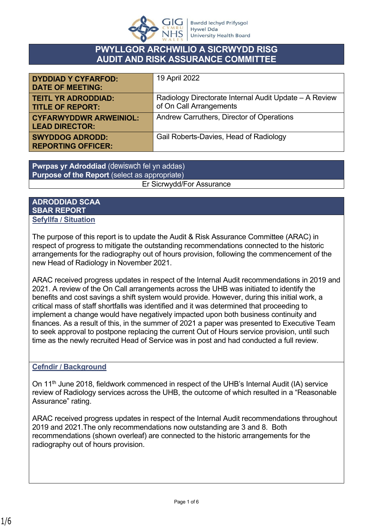

# **PWYLLGOR ARCHWILIO A SICRWYDD RISG AUDIT AND RISK ASSURANCE COMMITTEE**

| <b>DYDDIAD Y CYFARFOD:</b><br><b>DATE OF MEETING:</b>  | 19 April 2022                                                                     |
|--------------------------------------------------------|-----------------------------------------------------------------------------------|
| <b>TEITL YR ADRODDIAD:</b><br><b>TITLE OF REPORT:</b>  | Radiology Directorate Internal Audit Update - A Review<br>of On Call Arrangements |
| <b>CYFARWYDDWR ARWEINIOL:</b><br><b>LEAD DIRECTOR:</b> | Andrew Carruthers, Director of Operations                                         |
| <b>SWYDDOG ADRODD:</b><br><b>REPORTING OFFICER:</b>    | Gail Roberts-Davies, Head of Radiology                                            |

**Pwrpas yr Adroddiad** (dewiswch fel yn addas) **Purpose of the Report** (select as appropriate) Er Sicrwydd/For Assurance

#### **ADRODDIAD SCAA SBAR REPORT Sefyllfa / Situation**

The purpose of this report is to update the Audit & Risk Assurance Committee (ARAC) in respect of progress to mitigate the outstanding recommendations connected to the historic arrangements for the radiography out of hours provision, following the commencement of the new Head of Radiology in November 2021.

ARAC received progress updates in respect of the Internal Audit recommendations in 2019 and 2021. A review of the On Call arrangements across the UHB was initiated to identify the benefits and cost savings a shift system would provide. However, during this initial work, a critical mass of staff shortfalls was identified and it was determined that proceeding to implement a change would have negatively impacted upon both business continuity and finances. As a result of this, in the summer of 2021 a paper was presented to Executive Team to seek approval to postpone replacing the current Out of Hours service provision, until such time as the newly recruited Head of Service was in post and had conducted a full review.

### **Cefndir / Background**

On 11<sup>th</sup> June 2018, fieldwork commenced in respect of the UHB's Internal Audit (IA) service review of Radiology services across the UHB, the outcome of which resulted in a "Reasonable Assurance" rating.

ARAC received progress updates in respect of the Internal Audit recommendations throughout 2019 and 2021.The only recommendations now outstanding are 3 and 8. Both recommendations (shown overleaf) are connected to the historic arrangements for the radiography out of hours provision.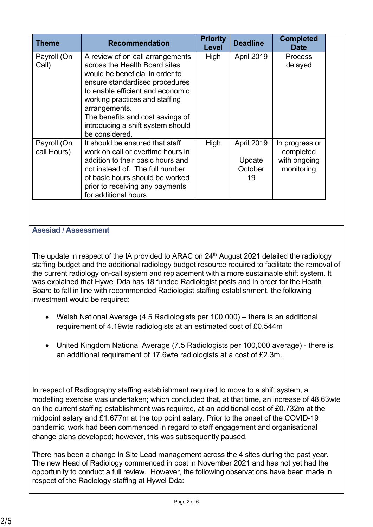| <b>Theme</b>               | <b>Recommendation</b>                                                                                                                                                                                                                                                                                                    | <b>Priority</b><br>Level | <b>Deadline</b>                       | <b>Completed</b><br>Date                                  |
|----------------------------|--------------------------------------------------------------------------------------------------------------------------------------------------------------------------------------------------------------------------------------------------------------------------------------------------------------------------|--------------------------|---------------------------------------|-----------------------------------------------------------|
| Payroll (On<br>Call)       | A review of on call arrangements<br>across the Health Board sites<br>would be beneficial in order to<br>ensure standardised procedures<br>to enable efficient and economic<br>working practices and staffing<br>arrangements.<br>The benefits and cost savings of<br>introducing a shift system should<br>be considered. | High                     | April 2019                            | <b>Process</b><br>delayed                                 |
| Payroll (On<br>call Hours) | It should be ensured that staff<br>work on call or overtime hours in<br>addition to their basic hours and<br>not instead of. The full number<br>of basic hours should be worked<br>prior to receiving any payments<br>for additional hours                                                                               | High                     | April 2019<br>Update<br>October<br>19 | In progress or<br>completed<br>with ongoing<br>monitoring |

## **Asesiad / Assessment**

The update in respect of the IA provided to ARAC on  $24<sup>th</sup>$  August 2021 detailed the radiology staffing budget and the additional radiology budget resource required to facilitate the removal of the current radiology on-call system and replacement with a more sustainable shift system. It was explained that Hywel Dda has 18 funded Radiologist posts and in order for the Heath Board to fall in line with recommended Radiologist staffing establishment, the following investment would be required:

- Welsh National Average (4.5 Radiologists per 100,000) there is an additional requirement of 4.19wte radiologists at an estimated cost of £0.544m
- United Kingdom National Average (7.5 Radiologists per 100,000 average) there is an additional requirement of 17.6wte radiologists at a cost of £2.3m.

In respect of Radiography staffing establishment required to move to a shift system, a modelling exercise was undertaken; which concluded that, at that time, an increase of 48.63wte on the current staffing establishment was required, at an additional cost of £0.732m at the midpoint salary and £1.677m at the top point salary. Prior to the onset of the COVID-19 pandemic, work had been commenced in regard to staff engagement and organisational change plans developed; however, this was subsequently paused.

There has been a change in Site Lead management across the 4 sites during the past year. The new Head of Radiology commenced in post in November 2021 and has not yet had the opportunity to conduct a full review. However, the following observations have been made in respect of the Radiology staffing at Hywel Dda: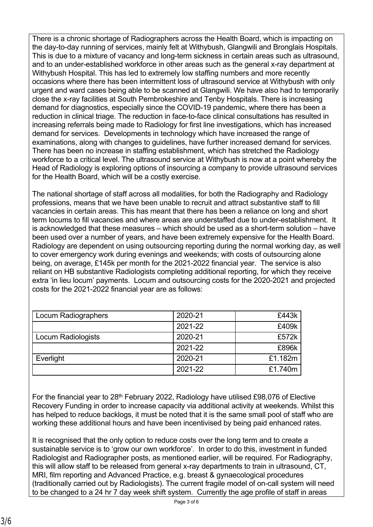There is a chronic shortage of Radiographers across the Health Board, which is impacting on the day-to-day running of services, mainly felt at Withybush, Glangwili and Bronglais Hospitals. This is due to a mixture of vacancy and long-term sickness in certain areas such as ultrasound, and to an under-established workforce in other areas such as the general x-ray department at Withybush Hospital. This has led to extremely low staffing numbers and more recently occasions where there has been intermittent loss of ultrasound service at Withybush with only urgent and ward cases being able to be scanned at Glangwili. We have also had to temporarily close the x-ray facilities at South Pembrokeshire and Tenby Hospitals. There is increasing demand for diagnostics, especially since the COVID-19 pandemic, where there has been a reduction in clinical triage. The reduction in face-to-face clinical consultations has resulted in increasing referrals being made to Radiology for first line investigations, which has increased demand for services. Developments in technology which have increased the range of examinations, along with changes to guidelines, have further increased demand for services. There has been no increase in staffing establishment, which has stretched the Radiology workforce to a critical level. The ultrasound service at Withybush is now at a point whereby the Head of Radiology is exploring options of insourcing a company to provide ultrasound services for the Health Board, which will be a costly exercise.

The national shortage of staff across all modalities, for both the Radiography and Radiology professions, means that we have been unable to recruit and attract substantive staff to fill vacancies in certain areas. This has meant that there has been a reliance on long and short term locums to fill vacancies and where areas are understaffed due to under-establishment. It is acknowledged that these measures – which should be used as a short-term solution – have been used over a number of years, and have been extremely expensive for the Health Board. Radiology are dependent on using outsourcing reporting during the normal working day, as well to cover emergency work during evenings and weekends; with costs of outsourcing alone being, on average, £145k per month for the 2021-2022 financial year. The service is also reliant on HB substantive Radiologists completing additional reporting, for which they receive extra 'in lieu locum' payments. Locum and outsourcing costs for the 2020-2021 and projected costs for the 2021-2022 financial year are as follows:

| Locum Radiographers | 2020-21 | £443k   |
|---------------------|---------|---------|
|                     | 2021-22 | £409k   |
| Locum Radiologists  | 2020-21 | £572k   |
|                     | 2021-22 | £896k   |
| Everlight           | 2020-21 | £1.182m |
|                     | 2021-22 | £1.740m |

For the financial year to 28<sup>th</sup> February 2022, Radiology have utilised £98,076 of Elective Recovery Funding in order to increase capacity via additional activity at weekends. Whilst this has helped to reduce backlogs, it must be noted that it is the same small pool of staff who are working these additional hours and have been incentivised by being paid enhanced rates.

It is recognised that the only option to reduce costs over the long term and to create a sustainable service is to 'grow our own workforce'. In order to do this, investment in funded Radiologist and Radiographer posts, as mentioned earlier, will be required. For Radiography, this will allow staff to be released from general x-ray departments to train in ultrasound, CT, MRI, film reporting and Advanced Practice, e.g. breast & gynaecological procedures (traditionally carried out by Radiologists). The current fragile model of on-call system will need to be changed to a 24 hr 7 day week shift system. Currently the age profile of staff in areas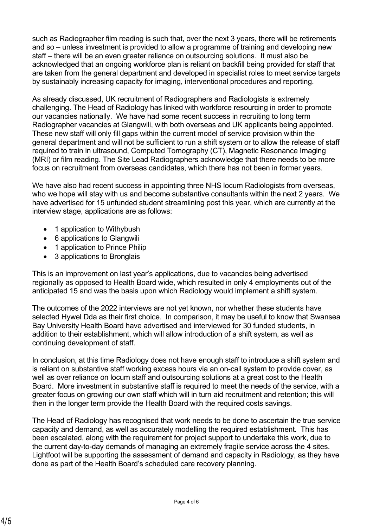such as Radiographer film reading is such that, over the next 3 years, there will be retirements and so – unless investment is provided to allow a programme of training and developing new staff – there will be an even greater reliance on outsourcing solutions. It must also be acknowledged that an ongoing workforce plan is reliant on backfill being provided for staff that are taken from the general department and developed in specialist roles to meet service targets by sustainably increasing capacity for imaging, interventional procedures and reporting.

As already discussed, UK recruitment of Radiographers and Radiologists is extremely challenging. The Head of Radiology has linked with workforce resourcing in order to promote our vacancies nationally. We have had some recent success in recruiting to long term Radiographer vacancies at Glangwili, with both overseas and UK applicants being appointed. These new staff will only fill gaps within the current model of service provision within the general department and will not be sufficient to run a shift system or to allow the release of staff required to train in ultrasound, Computed Tomography (CT), Magnetic Resonance Imaging (MRI) or film reading. The Site Lead Radiographers acknowledge that there needs to be more focus on recruitment from overseas candidates, which there has not been in former years.

We have also had recent success in appointing three NHS locum Radiologists from overseas, who we hope will stay with us and become substantive consultants within the next 2 years. We have advertised for 15 unfunded student streamlining post this year, which are currently at the interview stage, applications are as follows:

- 1 application to Withybush
- 6 applications to Glangwili
- 1 application to Prince Philip
- 3 applications to Bronglais

This is an improvement on last year's applications, due to vacancies being advertised regionally as opposed to Health Board wide, which resulted in only 4 employments out of the anticipated 15 and was the basis upon which Radiology would implement a shift system.

The outcomes of the 2022 interviews are not yet known, nor whether these students have selected Hywel Dda as their first choice. In comparison, it may be useful to know that Swansea Bay University Health Board have advertised and interviewed for 30 funded students, in addition to their establishment, which will allow introduction of a shift system, as well as continuing development of staff.

In conclusion, at this time Radiology does not have enough staff to introduce a shift system and is reliant on substantive staff working excess hours via an on-call system to provide cover, as well as over reliance on locum staff and outsourcing solutions at a great cost to the Health Board. More investment in substantive staff is required to meet the needs of the service, with a greater focus on growing our own staff which will in turn aid recruitment and retention; this will then in the longer term provide the Health Board with the required costs savings.

The Head of Radiology has recognised that work needs to be done to ascertain the true service capacity and demand, as well as accurately modelling the required establishment. This has been escalated, along with the requirement for project support to undertake this work, due to the current day-to-day demands of managing an extremely fragile service across the 4 sites. Lightfoot will be supporting the assessment of demand and capacity in Radiology, as they have done as part of the Health Board's scheduled care recovery planning.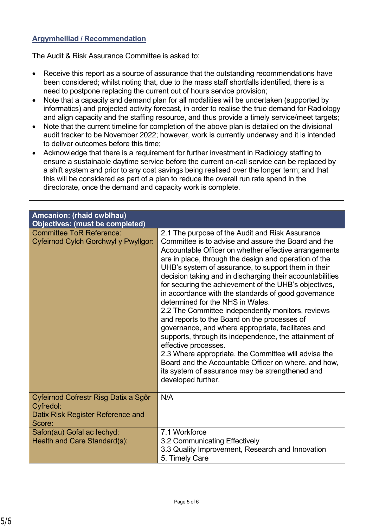#### **Argymhelliad / Recommendation**

The Audit & Risk Assurance Committee is asked to:

- Receive this report as a source of assurance that the outstanding recommendations have been considered; whilst noting that, due to the mass staff shortfalls identified, there is a need to postpone replacing the current out of hours service provision;
- Note that a capacity and demand plan for all modalities will be undertaken (supported by informatics) and projected activity forecast, in order to realise the true demand for Radiology and align capacity and the staffing resource, and thus provide a timely service/meet targets;
- Note that the current timeline for completion of the above plan is detailed on the divisional audit tracker to be November 2022; however, work is currently underway and it is intended to deliver outcomes before this time;
- Acknowledge that there is a requirement for further investment in Radiology staffing to ensure a sustainable daytime service before the current on-call service can be replaced by a shift system and prior to any cost savings being realised over the longer term; and that this will be considered as part of a plan to reduce the overall run rate spend in the directorate, once the demand and capacity work is complete.

| Amcanion: (rhaid cwblhau)<br><b>Objectives: (must be completed)</b>                              |                                                                                                                                                                                                                                                                                                                                                                                                                                                                                                                                                                                                                                                                                                                                                                                                                                                                                                                                       |
|--------------------------------------------------------------------------------------------------|---------------------------------------------------------------------------------------------------------------------------------------------------------------------------------------------------------------------------------------------------------------------------------------------------------------------------------------------------------------------------------------------------------------------------------------------------------------------------------------------------------------------------------------------------------------------------------------------------------------------------------------------------------------------------------------------------------------------------------------------------------------------------------------------------------------------------------------------------------------------------------------------------------------------------------------|
| <b>Committee ToR Reference:</b><br>Cyfeirnod Cylch Gorchwyl y Pwyllgor:                          | 2.1 The purpose of the Audit and Risk Assurance<br>Committee is to advise and assure the Board and the<br>Accountable Officer on whether effective arrangements<br>are in place, through the design and operation of the<br>UHB's system of assurance, to support them in their<br>decision taking and in discharging their accountabilities<br>for securing the achievement of the UHB's objectives,<br>in accordance with the standards of good governance<br>determined for the NHS in Wales.<br>2.2 The Committee independently monitors, reviews<br>and reports to the Board on the processes of<br>governance, and where appropriate, facilitates and<br>supports, through its independence, the attainment of<br>effective processes.<br>2.3 Where appropriate, the Committee will advise the<br>Board and the Accountable Officer on where, and how,<br>its system of assurance may be strengthened and<br>developed further. |
| Cyfeirnod Cofrestr Risg Datix a Sgôr<br>Cyfredol:<br>Datix Risk Register Reference and<br>Score: | N/A                                                                                                                                                                                                                                                                                                                                                                                                                                                                                                                                                                                                                                                                                                                                                                                                                                                                                                                                   |
| Safon(au) Gofal ac lechyd:<br>Health and Care Standard(s):                                       | 7.1 Workforce<br>3.2 Communicating Effectively<br>3.3 Quality Improvement, Research and Innovation<br>5. Timely Care                                                                                                                                                                                                                                                                                                                                                                                                                                                                                                                                                                                                                                                                                                                                                                                                                  |